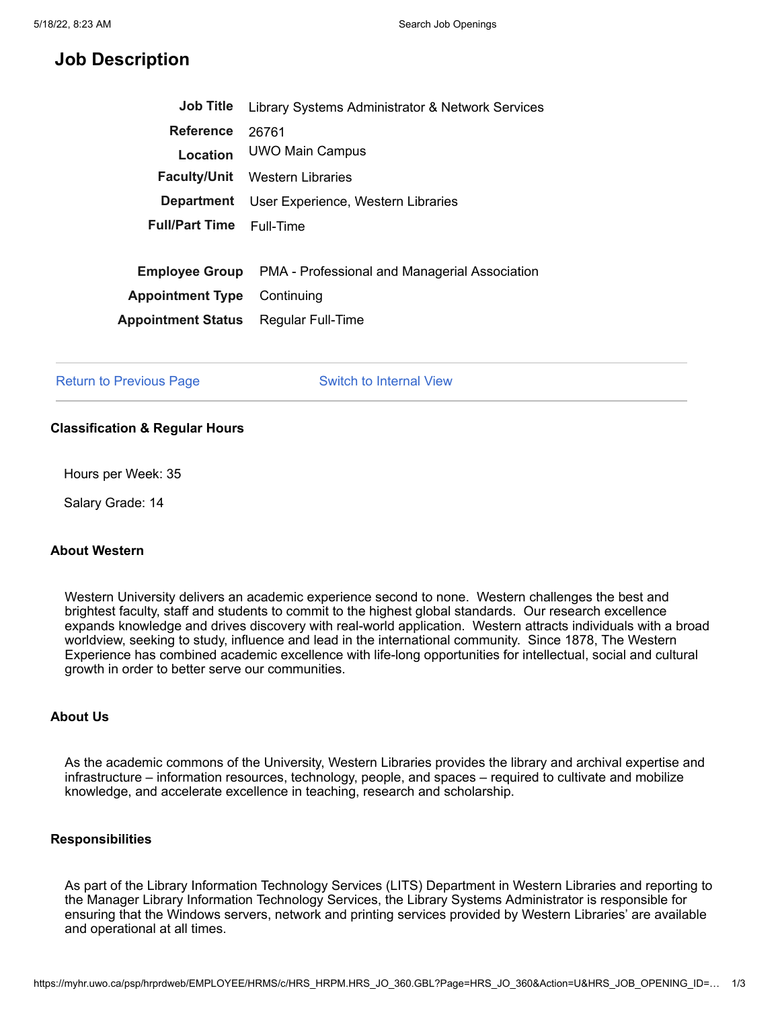# **Job Description**

| <b>Job Title</b>          | Library Systems Administrator & Network Services |
|---------------------------|--------------------------------------------------|
| <b>Reference</b>          | 26761                                            |
| Location                  | UWO Main Campus                                  |
| <b>Faculty/Unit</b>       | Western Libraries                                |
| <b>Department</b>         | User Experience, Western Libraries               |
| <b>Full/Part Time</b>     | Full-Time                                        |
|                           |                                                  |
| <b>Employee Group</b>     | PMA - Professional and Managerial Association    |
| <b>Appointment Type</b>   | Continuing                                       |
| <b>Appointment Status</b> | Regular Full-Time                                |

Return to [Previous](javascript:submitAction_win0(document.win0,) Page The Switch to [Internal](javascript:submitAction_win0(document.win0,) View

## **Classification & Regular Hours**

Hours per Week: 35

Salary Grade: 14

# **About Western**

Western University delivers an academic experience second to none. Western challenges the best and brightest faculty, staff and students to commit to the highest global standards. Our research excellence expands knowledge and drives discovery with real-world application. Western attracts individuals with a broad worldview, seeking to study, influence and lead in the international community. Since 1878, The Western Experience has combined academic excellence with life-long opportunities for intellectual, social and cultural growth in order to better serve our communities.

### **About Us**

As the academic commons of the University, Western Libraries provides the library and archival expertise and infrastructure – information resources, technology, people, and spaces – required to cultivate and mobilize knowledge, and accelerate excellence in teaching, research and scholarship.

### **Responsibilities**

As part of the Library Information Technology Services (LITS) Department in Western Libraries and reporting to the Manager Library Information Technology Services, the Library Systems Administrator is responsible for ensuring that the Windows servers, network and printing services provided by Western Libraries' are available and operational at all times.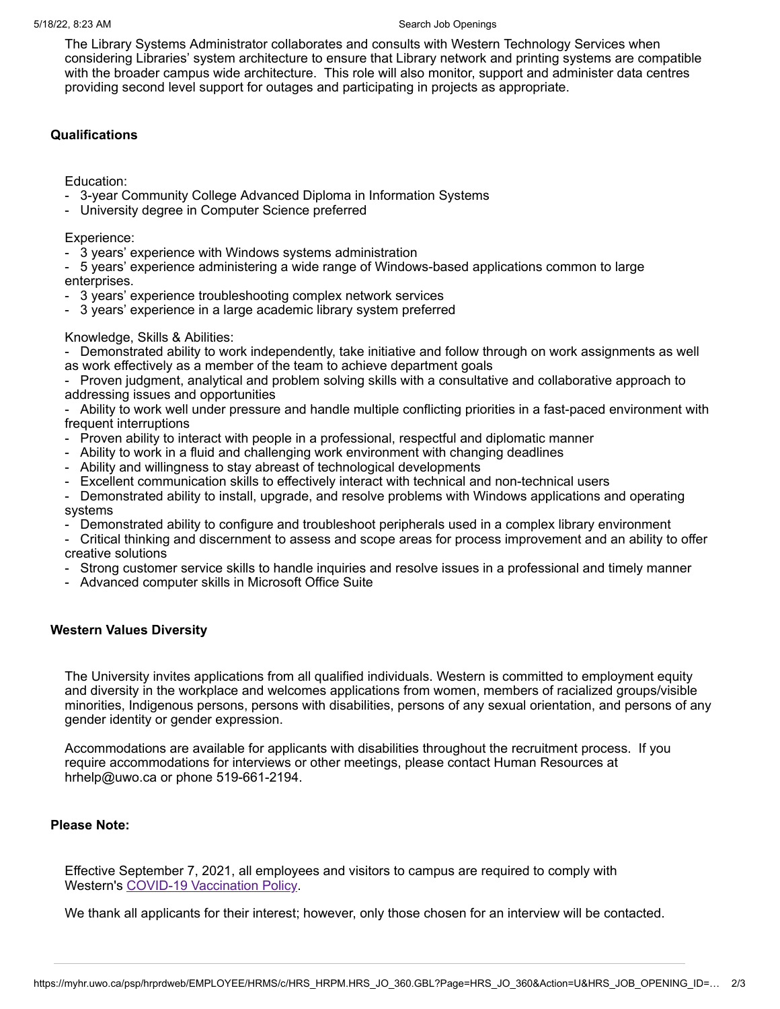#### 5/18/22, 8:23 AM Search Job Openings and Search Job Openings

The Library Systems Administrator collaborates and consults with Western Technology Services when considering Libraries' system architecture to ensure that Library network and printing systems are compatible with the broader campus wide architecture. This role will also monitor, support and administer data centres providing second level support for outages and participating in projects as appropriate.

# **Qualifications**

Education:

- 3-year Community College Advanced Diploma in Information Systems
- University degree in Computer Science preferred

Experience:

- 3 years' experience with Windows systems administration
- 5 years' experience administering a wide range of Windows-based applications common to large enterprises.
- 3 years' experience troubleshooting complex network services
- 3 years' experience in a large academic library system preferred

### Knowledge, Skills & Abilities:

- Demonstrated ability to work independently, take initiative and follow through on work assignments as well as work effectively as a member of the team to achieve department goals

- Proven judgment, analytical and problem solving skills with a consultative and collaborative approach to addressing issues and opportunities

- Ability to work well under pressure and handle multiple conflicting priorities in a fast-paced environment with frequent interruptions

- Proven ability to interact with people in a professional, respectful and diplomatic manner
- Ability to work in a fluid and challenging work environment with changing deadlines
- Ability and willingness to stay abreast of technological developments
- Excellent communication skills to effectively interact with technical and non-technical users
- Demonstrated ability to install, upgrade, and resolve problems with Windows applications and operating systems
- Demonstrated ability to configure and troubleshoot peripherals used in a complex library environment
- Critical thinking and discernment to assess and scope areas for process improvement and an ability to offer creative solutions
- Strong customer service skills to handle inquiries and resolve issues in a professional and timely manner
- Advanced computer skills in Microsoft Office Suite

## **Western Values Diversity**

The University invites applications from all qualified individuals. Western is committed to employment equity and diversity in the workplace and welcomes applications from women, members of racialized groups/visible minorities, Indigenous persons, persons with disabilities, persons of any sexual orientation, and persons of any gender identity or gender expression.

Accommodations are available for applicants with disabilities throughout the recruitment process. If you require accommodations for interviews or other meetings, please contact Human Resources at hrhelp@uwo.ca or phone 519-661-2194.

## **Please Note:**

Effective September 7, 2021, all employees and visitors to campus are required to comply with Western's COVID-19 [Vaccination](http://www.uwo.ca/univsec/pdf/policies_procedures/section3/mapp311_covid19.pdf) Policy.

We thank all applicants for their interest; however, only those chosen for an interview will be contacted.